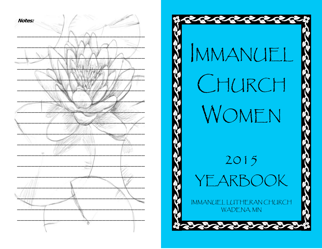

# IMMANUEL CHURCH WOMEN 2015

# YF,

IMMANUEL LUTHERAN CHURCH WADENA, MN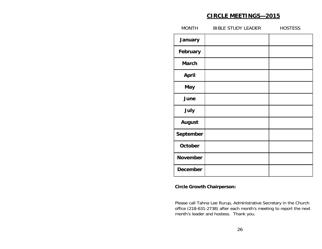# **CIRCLE MEETINGS—2015**

| <b>HOSTESS</b>            |
|---------------------------|
|                           |
|                           |
|                           |
|                           |
|                           |
|                           |
|                           |
|                           |
|                           |
|                           |
|                           |
|                           |
| <b>BIBLE STUDY LEADER</b> |

### **Circle Growth Chairperson:**

Please call Tahna Lee Rurup, Administrative Secretary in the Church office (218-631-2738) after each month's meeting to report the next month's leader and hostess. Thank you.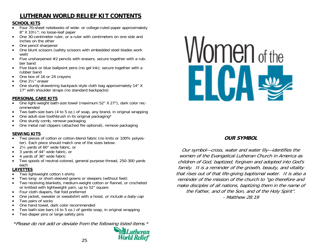# **LUTHERAN WORLD RELIEF KIT CONTENTS**

#### **SCHOOL KITS**

- Four 70-sheet notebooks of wide- or college-ruled paper approximately 8" X 10½"; no loose-leaf paper
- One 30-centimeter ruler, or a ruler with centimeters on one side and inches on the other
- One pencil sharpener
- One blunt scissors (safety scissors with embedded steel blades work well)
- Five unsharpened #2 pencils with erasers; secure together with a rubber band
- Five black or blue ballpoint pens (no gel ink); secure together with a rubber band
- One box of 16 or 24 crayons
- One 2½" eraser
- One sturdy drawstring backpack-style cloth bag approximately 14" X 17" with shoulder straps (no standard backpacks)

#### **PERSONAL CARE KITS**

- One light-weight bath-size towel (maximum 52" X 27"), dark color recommended
- Two bath-size bars (4 to 5 oz.) of soap, any brand, in original wrapping
- One adult-size toothbrush in its original packaging\*
- One sturdy comb, remove packaging
- One metal nail clippers (attached file optional), remove packaging

#### **SEWING KITS**

- Two pieces of cotton or cotton-blend fabric (no knits or 100% polyester). Each piece should match one of the sizes below:
- 2¼ yards of 60" wide fabric, or
- 3 yards of 44" wide fabric, or
- 4 yards of 36" wide fabric
- Two spools of neutral-colored, general purpose thread, 250-300 yards each

# **LAYETTES**

- Two lightweight cotton t-shirts
- Two long- or short-sleeved gowns or sleepers (without feet)
- Two receiving blankets, medium-weight cotton or flannel, or crocheted or knitted with lightweight yarn, up to 52" square
- Four cloth diapers, flat fold preferred
- One jacket, sweater or sweatshirt with a hood, or include a baby cap
- Two pairs of socks
- One hand towel, dark color recommended
- Two bath-size bars (4 to 5 oz.) of gentle soap, in original wrapping
- Two diaper pins or large safety pins

\*Please do not add or deviate from the following listed items.\*





# **OUR SYMBOL**

Our symbol—cross, water and water lily—identifies the women of the Evangelical Lutheran Church in America as children of God, baptized, forgiven and adopted into God's family. It is a reminder of the growth, beauty, and vitality that rises out of that life-giving baptismal water. It is also a reminder of the mission of the church to "go therefore and make disciples of all nations, baptizing them in the name of the Father, and of the Son, and of the Holy Spirit". - Matthew 28:19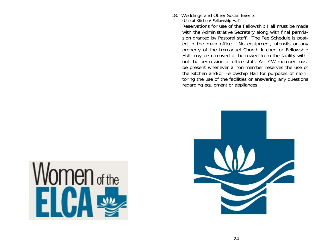18. Weddings and Other Social Events

(Use of Kitchen/ Fellowship Hall)

 Reservations for use of the Fellowship Hall must be made with the Administrative Secretary along with final permission granted by Pastoral staff. The Fee Schedule is posted in the main office. No equipment, utensils or any property of the Immanuel Church kitchen or Fellowship Hall may be removed or borrowed from the facility without the permission of office staff. An ICW member must be present whenever a non-member reserves the use of the kitchen and/or Fellowship Hall for purposes of monitoring the use of the facilities or answering any questions regarding equipment or appliances.



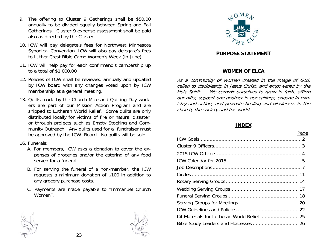- 9. The offering to Cluster 9 Gatherings shall be \$50.00 annually to be divided equally between Spring and Fall Gatherings. Cluster 9 expense assessment shall be paid also as directed by the Cluster.
- 10. ICW will pay delegate's fees for Northwest Minnesota Synodical Convention. ICW will also pay delegate's fees to Luther Crest Bible Camp Women's Week (in June).
- 11. ICW will help pay for each confirmand's campership up to a total of \$1,000.00
- 12. Policies of ICW shall be reviewed annually and updated by ICW board with any changes voted upon by ICW membership at a general meeting.
- 13. Quilts made by the Church Mice and Quilting Day workers are part of our Mission Action Program and are shipped to Lutheran World Relief. Some quilts are only distributed locally for victims of fire or natural disaster, or through projects such as Empty Stocking and Community Outreach. Any quilts used for a fundraiser must be approved by the ICW Board. No quilts will be sold.
- 16. Funerals:
	- A. For members, ICW asks a donation to cover the expenses of groceries and/or the catering of any food served for a funeral.
	- B. For serving the funeral of a non-member, the ICW requests a minimum donation of \$100 in addition to any grocery purchase costs.
	- C. Payments are made payable to "Immanuel Church Women".

![](_page_4_Picture_9.jpeg)

![](_page_4_Picture_11.jpeg)

![](_page_4_Picture_12.jpeg)

#### **PURPOSE STATEMENT**

#### **WOMEN OF ELCA**

As a community of women created in the image of God, called to discipleship in Jesus Christ, and empowered by the Holy Spirit….. We commit ourselves to grow in faith, affirm our gifts, support one another in our callings, engage in ministry and action, and promote healing and wholeness in the church, the society and the world.

#### **INDEX**

ICW Goals ...................................................................2

# <u>Page in the contract of the contract of the contract of the contract of the contract of the contract of the con</u>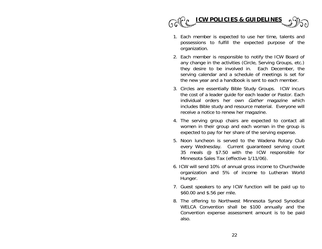![](_page_5_Picture_0.jpeg)

- 1. Each member is expected to use her time, talents and possessions to fulfill the expected purpose of the organization.
- 2. Each member is responsible to notify the ICW Board of any change in the activities (Circle, Serving Groups, etc.) they desire to be involved in. Each December, the serving calendar and a schedule of meetings is set for the new year and a handbook is sent to each member.
- 3. Circles are essentially Bible Study Groups. ICW incurs the cost of a leader guide for each leader or Pastor. Each individual orders her own *Gather* magazine which includes Bible study and resource material. Everyone will receive a notice to renew her magazine.
- 4. The serving group chairs are expected to contact all women in their group and each woman in the group is expected to pay for her share of the serving expense.
- 5. Noon luncheon is served to the Wadena Rotary Club every Wednesday. Current guaranteed serving count 35 meals @ \$7.50 with the ICW responsible for Minnesota Sales Tax (effective 1/11/06).
- 6. ICW will send 10% of annual gross income to Churchwide organization and 5% of income to Lutheran World Hunger.
- 7. Guest speakers to any ICW function will be paid up to \$60.00 and \$.56 per mile.
- 8. The offering to Northwest Minnesota Synod Synodical WELCA Convention shall be \$100 annually and the Convention expense assessment amount is to be paid also.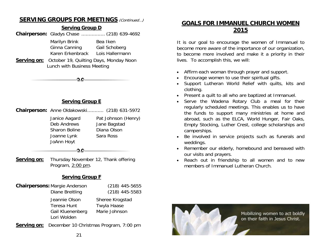# **SERVING GROUPS FOR MEETINGS** (Continued…)

![](_page_6_Figure_1.jpeg)

### **Serving Group E**

|                                                                                   | Chairperson: Anne Oldakowski (218) 631-5972                     |
|-----------------------------------------------------------------------------------|-----------------------------------------------------------------|
| Janice Aagard<br>Deb Andrews<br><b>Sharon Boline</b><br>Joanne Lynk<br>JoAnn Hoyt | Pat Johnson (Henry)<br>Jane Bagstad<br>Diana Olson<br>Sara Ross |
|                                                                                   |                                                                 |

 $0.0$ 

**Serving on:** Thursday November 12, Thank offering Program, 2:00 pm.

# **Serving Group F**

| <b>Chairpersons: Margie Anderson</b>                                   | $(218)$ 445-5655                                |
|------------------------------------------------------------------------|-------------------------------------------------|
| Diane Breitling                                                        | $(218)$ 445-5583                                |
| Jeannie Olson<br><b>Teresa Hunt</b><br>Gail Kluenenberg<br>Lori Wolden | Sheree Krogstad<br>Twyla Haase<br>Marie Johnson |

**Serving on:** December 10 Christmas Program, 7:00 pm

# **GOALS FOR IMMANUEL CHURCH WOMEN 2015**

It is our goal to encourage the women of Immanuel to become more aware of the importance of our organization, to become more involved and make it a priority in their lives. To accomplish this, we will:

- Affirm each woman through prayer and support.
- Encourage women to use their spiritual gifts.
- Support Lutheran World Relief with quilts, kits and clothing.
- Present a quilt to all who are baptized at Immanuel.
- Serve the Wadena Rotary Club a meal for their regularly scheduled meetings. This enables us to have the funds to support many ministries at home and abroad, such as the ELCA, World Hunger, Fair Oaks, Empty Stocking, Luther Crest, college scholarships and camperships.
- Be involved in service projects such as funerals and weddings.
- Remember our elderly, homebound and bereaved with our visits and prayers.
- Reach out in friendship to all women and to new members of Immanuel Lutheran Church.

![](_page_6_Picture_19.jpeg)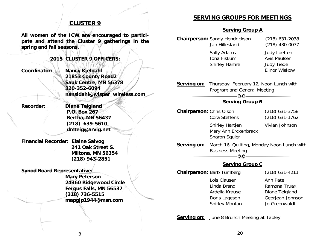# **CLUSTER 9**

**All women of the ICW are encouraged to participate and attend the Cluster 9 gatherings in the spring and fall seasons.** 

#### **2015 CLUSTER 9 OFFICERS:**

**Coordinator: Nancy Kjeldahl 21853 County Road2 Sauk Centre, MN 56378 320-352-6094 nansidahl@wisper\_wireless.com** 

**Recorder: Diane Teigland P.O. Box 267 Bertha, MN 56437 (218) 639-5610 dmteig@arvig.net** 

**Financial Recorder: Elaine Salvog 241 Oak Street S. Miltona, MN 56354 (218) 943-2851** 

**Synod Board Representative:** 

 **Mary Peterson 24360 Ridgewood Circle Fergus Falls, MN 56537 (218) 736-5515 mapgjp1944@msn.com** 

# **SERVING GROUPS FOR MEETINGS**

#### **Serving Group A**

|                                 | <b>Chairperson: Sandy Hendrickson</b><br>Jan Hillesland<br>Sally Adams<br>Iona Fiskum<br><b>Shirley Hamre</b> | $(218)$ 631-2038<br>$(218)$ 430-0077<br><b>Judy Loeffen</b><br><b>Avis Paulsen</b><br><b>Judy Tiede</b><br><b>Elinor Wiskow</b> |  |  |
|---------------------------------|---------------------------------------------------------------------------------------------------------------|---------------------------------------------------------------------------------------------------------------------------------|--|--|
| Serving on:                     | Thursday, February 12, Noon Lunch with<br>Program and General Meeting<br>$-0.0 -$                             |                                                                                                                                 |  |  |
|                                 | <b>Serving Group B</b>                                                                                        |                                                                                                                                 |  |  |
| <b>Chairperson: Chris Olson</b> | Cora Steffens                                                                                                 | (218) 631-3758<br>$(218)$ 631-1762                                                                                              |  |  |
|                                 | Shirley Hartjen<br>Mary Ann Erckenbrack<br>Sharon Squier                                                      | Vivian Johnson                                                                                                                  |  |  |
| Serving on:                     | March 16, Quilting, Monday Noon Lunch with<br><b>Business Meeting</b><br>O.O                                  |                                                                                                                                 |  |  |
| <b>Serving Group C</b>          |                                                                                                               |                                                                                                                                 |  |  |
|                                 | <b>Chairperson: Barb Tumberg</b>                                                                              | (218) 631-4211                                                                                                                  |  |  |
|                                 | Lois Clausen<br>Linda Brand<br>Ardella Krause<br>Doris Lageson<br>Shirley Montan                              | Ann Pate<br>Ramona Truax<br>Diane Teigland<br>Georjean Johnson<br>Jo Greenwaldt                                                 |  |  |

**Serving on:** June 8 Brunch Meeting at Tapley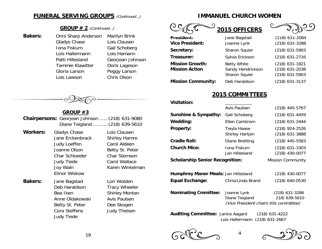# **FUNERAL SERVING GROUPS** (Continued...)

#### **GROUP # 2** (Continued…)

 Gladys Chase Lois Clausen Iona Fiskum Gail Schoberg Lois Hallermann Lois Hamann Tammie Klawitter Doris Lageson Gloria Larson Peggy Larson Lois Lawson Chris Olson

**Bakers:** Onni Sharp Anderson Marilyn Brink Patti Hillesland Georjean Johnson

# $\mathcal{B}(\mathcal{O}_n) =$

# **GROUP #3 Chairpersons:** Georjean Johnson ...... (218) 631-9080 Diane Teigland ........... (218) 639-5610

**Workers:** Gladys Chase Lois Clausen Jane Erckenbrack Shirley Hamre Judy Loeffen Carol Aldeen Joanne Olson Betty St. Peter Char Schloeder Char Stemson Judy Tiede Carol Wallace Joy Waln Karen Winkelman Elinor Wiskow

**Bakers:** Jane Bagstad Lori Wolden Deb Haraldson Tracy Wheeler Anne Oldakowski Avis Paulsen Betty St. Peter Dee Skogen Cora Steffens Judy Theisen Judy Tiede

Bea Iken Shirley Montan

# **IMMANUEL CHURCH WOMEN**

|                                                 | 2015 OFFICERS                                                   |                                                    |
|-------------------------------------------------|-----------------------------------------------------------------|----------------------------------------------------|
| President:<br><b>Vice President:</b>            | Jane Bagstad<br>Joanne Lynk                                     | (218) 631-2084<br>(218) 631-3288                   |
| Secretary:                                      | <b>Sharon Squier</b>                                            | (218) 631-5903                                     |
| Treasurer:                                      | Sylvia Erickson                                                 | (218) 631-2716                                     |
| <b>Mission Growth:</b><br><b>Mission Action</b> | <b>Betty White</b><br>Sandy Hendrickson<br><b>Sharon Squier</b> | (218) 631-1821<br>(218) 631-2038<br>(218) 631-5903 |
| <b>Mission Community:</b>                       | Deb Haraldson                                                   | (218) 631-3137                                     |

# **2015 COMMITTEES**

| <b>Visitation:</b>                          |                                |                                      |
|---------------------------------------------|--------------------------------|--------------------------------------|
|                                             | <b>Avis Paulsen</b>            | $(218)$ 445-5767                     |
| Sunshine & Sympathy:                        | Gail Schoberg                  | $(218)$ 631-4459                     |
| Wedding:                                    | <b>Ellen Carlstrom</b>         | $(218)$ 631-2444                     |
| <b>Property:</b>                            | Twyla Haase<br>Shirley Hartjen | (218) 924-2526<br>$(218)$ 631-3888   |
| <b>Cradle Roll:</b>                         | Diane Breitling                | $(218)$ 445-5583                     |
| <b>Church Mice:</b>                         | Jona Fiskum<br>Jan Hillesland  | $(218)$ 631-3303<br>$(218)$ 430-0077 |
| <b>Scholarship Senior Recognition:</b>      |                                | <b>Mission Community</b>             |
| <b>Humphrey Manor Meals: Jan Hillesland</b> |                                | (218) 430-0077                       |

**Nominating Cmmittee:** Joanne Lynk (218) 631-3288 Diane Teigland 218) 639-5610 (Vice President chairs this committee)

**Equal Exchange:** Chris/Linda Brand (218) 640-0530

**Auditing Committee:** Janice Aagard (218) 631-4222 Lois Hallermann (218) 631-2667

4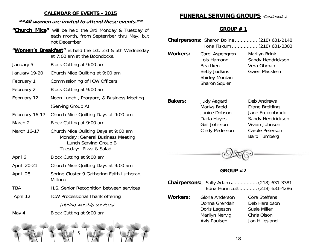# **CALENDAR OF EVENTS - 2015**

# **\*\*All women are invited to attend these events.\*\***

- **"Church Mice"** will be held the 3rd Monday & Tuesday of each month, from September thru May, but not December
- **"Women's Breakfast"** is held the 1st, 3rd & 5th Wednesday at 7:00 am at the Boondocks.
- January 5 Block Cutting at 9:00 am
- January 19-20 Church Mice Quilting at 9:00 am
- February 1 Commissioning of ICW Officers
- February 2 Block Cutting at 9:00 am
- February 12 Noon Lunch , Program, & Business Meeting (Serving Group A)
- February 16-17 Church Mice Quilting Days at 9:00 am
- March 2 Block Cutting at 9:00 am
- March 16-17 Church Mice Quilting Days at 9:00 am Monday :General Business Meeting Lunch Serving Group B Tuesday: Pizza & Salad
- April 6 Block Cutting at 9:00 am
- April 20-21 Church Mice Quilting Days at 9:00 am
- April 28 Spring Cluster 9 Gathering Faith Lutheran, Miltona
- TBA H.S. Senior Recognition between services
- April 12 ICW Processional Thank offering (during worship services)
- May 4 Block Cutting at 9:00 am

![](_page_9_Picture_18.jpeg)

# **FUNERAL SERVING GROUPS** (Continued...)

# **GROUP # 1**

|                 |                                                                                                                     | <b>Chairpersons:</b> Sharon Boline  (218) 631-2148<br>Iona Fiskum  (218) 631-3303                                            |
|-----------------|---------------------------------------------------------------------------------------------------------------------|------------------------------------------------------------------------------------------------------------------------------|
| <b>Workers:</b> | Carol Aspengren<br>Lois Hamann<br>Bea Iken<br><b>Betty Judkins</b><br><b>Shirley Montan</b><br><b>Sharon Squier</b> | Marilyn Brink<br>Sandy Hendrickson<br>Vera Ohman<br>Gwen Macklem                                                             |
| <b>Bakers:</b>  | <b>Judy Aagard</b><br>Marlys Breid<br>Janice Dobson<br>Darla Hayes<br>Gail Johnson<br>Cindy Pederson                | Deb Andrews<br>Diane Breitling<br>Jane Erckenbrack<br>Sandy Hendrickson<br>Vivian Johnson<br>Carole Peterson<br>Barb Tumberg |

![](_page_9_Picture_22.jpeg)

# **GROUP #2**

|                 | <b>Chairpersons:</b> Sally Adams (218) 631-3381                                             | Edna Hunnicutt  (218) 631-4286                                                         |
|-----------------|---------------------------------------------------------------------------------------------|----------------------------------------------------------------------------------------|
| <b>Workers:</b> | Gloria Anderson<br>Donna Grendahl<br>Doris Lageson<br>Marilyn Nervig<br><b>Avis Paulsen</b> | Cora Steffens<br>Deb Haraldson<br><b>Susie Miller</b><br>Chris Olson<br>Jan Hillesland |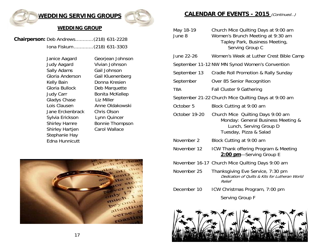# **WEDDING SERVING GROUPS**

![](_page_10_Picture_1.jpeg)

#### **WEDDING GROUP**

**Chairperson:** Deb Andrews ............ (218) 631-2228 Iona Fiskum ............. (218) 631-3303

> Janice Aagard Georjean Johnson Judy Aagard Vivian Johnson Sally Adams Gail Johnson Gloria Anderson Gail Kluenenberg Kelly Bain **Donna Kresien**  Gloria Bullock Deb Marquette Judy Carr Bonita McKellep Gladys Chase Liz Miller Lois Clausen Anne Oldakowski Jane Erckenbrack Chris Olson Sylvia Erickson Lynn Quincer Shirley Hamre Bonnie Thompson Shirley Hartjen Carol Wallace Stephanie Hay Edna Hunnicutt

![](_page_10_Picture_6.jpeg)

# **CALENDAR OF EVENTS - 2015** (Continued…)

| May 18-19<br>June 8 | Church Mice Quilting Days at 9:00 am<br>Women's Brunch Meeting at 9:30 am<br>Tapley Park, Business Meeting,<br>Serving Group C |
|---------------------|--------------------------------------------------------------------------------------------------------------------------------|
| June 22-26          | Women's Week at Luther Crest Bible Camp                                                                                        |
|                     | September 11-12 NW MN Synod Women's Convention                                                                                 |
| September 13        | Cradle Roll Promotion & Rally Sunday                                                                                           |
| September           | Over 85 Senior Recognition                                                                                                     |
| <b>TBA</b>          | <b>Fall Cluster 9 Gathering</b>                                                                                                |
|                     | September 21-22 Church Mice Quilting Days at 9:00 am                                                                           |
| October 5           | Block Cutting at 9:00 am                                                                                                       |
| October 19-20       | Church Mice Quilting Days 9:00 am<br>Monday: General Business Meeting &<br>Lunch, Serving Group D<br>Tuesday, Pizza & Salad    |
| November 2          | Block Cutting at 9:00 am                                                                                                       |
| November 12         | ICW Thank offering Program & Meeting<br>2:00 pm-Serving Group E                                                                |
|                     | November 16-17 Church Mice Quilting Days 9:00 am                                                                               |
| November 25         | Thanksgiving Eve Service, 7:30 pm<br>Dedication of Quilts & Kits for Lutheran World<br>Relief                                  |
| December 10         | ICW Christmas Program, 7:00 pm                                                                                                 |
|                     | Serving Group F                                                                                                                |

![](_page_10_Picture_9.jpeg)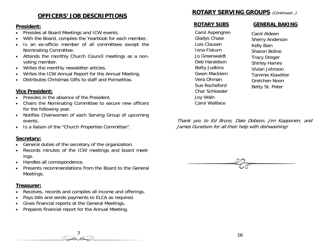# **OFFICERS' JOB DESCRIPTIONS**

#### **President:**

- Presides at Board Meetings and ICW events.
- With the Board, compiles the Yearbook for each member.
- Is an ex-officio member of all committees except the Nominating Committee.
- Attends the monthly Church Council meetings as a nonvoting member.
- Writes the monthly newsletter articles.
- Writes the ICW Annual Report for the Annual Meeting.
- Distributes Christmas Gifts to staff and Poinsettias.

#### **Vice President:**

- Presides in the absence of the President.
- Chairs the Nominating Committee to secure new officers for the following year.
- Notifies Chairwomen of each Serving Group of upcoming events.
- Is a liaison of the "Church Properties Committee".

#### **Secretary:**

- General duties of the secretary of the organization.
- Records minutes of the ICW meetings and board meetings.
- Handles all correspondence.
- Presents recommendations from the Board to the General Meetings.

#### **Treasurer:**

- Receives, records and compiles all income and offerings.
- Pays bills and sends payments to ELCA as required.
- Gives financial reports at the General Meetings.
- Prepares financial report for the Annual Meeting.

# **ROTARY SERVING GROUPS** (Continued…)

 Carol Aspengren Gladys Chase Lois Clausen Iona Fiskum Jo Greenwaldt Deb Haraldson Betty Judkins Gwen Macklem Vera Ohman Sue Rocheford Char Schloeder Joy Waln Carol Walllace

#### **ROTARY SUBS GENERAL BAKING**

Carol Aldeen Sherry Anderson Kelly Bain Sharon Boline Tracy Dreger Shirley Hamre Vivian Johnson Tammie Klawitter Gretchen Noon Betty St. Peter

Thank you to Ed Bruns, Dale Dobson, Jim Kopponen, and James Gunelson for all their help with dishwashing!

![](_page_11_Picture_30.jpeg)

7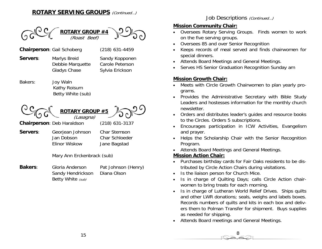# **ROTARY SERVING GROUPS** (Continued…)

![](_page_12_Picture_1.jpeg)

# Job Descriptions (Continued...)

# **Mission Community Chair:**

- Oversees Rotary Serving Groups. Finds women to work on the five serving groups.
- Oversees 85 and over Senior Recognition
- Keeps records of meal served and finds chairwomen for special dinners.
- Attends Board Meetings and General Meetings.
- Serves HS Senior Graduation Recognition Sunday am

# **Mission Growth Chair:**

- Meets with Circle Growth Chairwomen to plan yearly programs.
- Provides the Administrative Secretary with Bible Study Leaders and hostesses information for the monthly church newsletter.
- Orders and distributes leader's guides and resource books to the Circles. Orders 5 subscriptions.
- Encourages participation in ICW Activities, Evangelism and prayer.
- Helps the Scholarship Chair with the Senior Recognition Program.
- Attends Board Meetings and General Meetings.

# **Mission Action Chair:**

- Purchases birthday cards for Fair Oaks residents to be distributed by Circle Action Chairs during visitations.
- Is the liaison person for Church Mice.
- Is in charge of Quilting Days; calls Circle Action chairwomen to bring treats for each morning.
- Is in charge of Lutheran World Relief Drives. Ships quilts and other LWR donations; seals, weighs and labels boxes. Records numbers of quilts and kits in each box and delivers them to Polman Transfer for shipment. Buys supplies as needed for shipping.

8

• Attends Board meetings and General Meetings.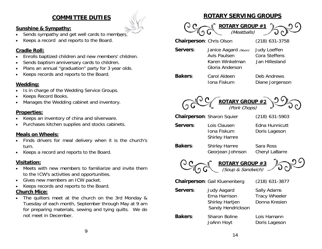# **COMMITTEE DUTIES**

# **Sunshine & Sympathy:**

- Sends sympathy and get well cards to members.
- Keeps a record and reports to the Board.

# **Cradle Roll:**

- Enrolls baptized children and new members' children.
- Sends baptism anniversary cards to children.
- Plans an annual "graduation" party for 3 year olds.
- Keeps records and reports to the Board.

# **Wedding:**

- Is in charge of the Wedding Service Groups.
- Keeps Record Books.
- Manages the Wedding cabinet and inventory.

# **Properties:**

- Keeps an inventory of china and silverware.
- Purchases kitchen supplies and stocks cabinets.

# **Meals on Wheels:**

- Finds drivers for meal delivery when it is the church's turn.
- Keeps a record and reports to the Board.

# **Visitation:**

- Meets with new members to familiarize and invite them to the ICW's activities and opportunities.
- Gives new members an ICW packet.
- Keeps records and reports to the Board.

# **Church Mice:**

The quilters meet at the church on the 3rd Monday & Tuesday of each month, September through May at 9 am for preparing materials, sewing and tying quilts. We do not meet in December.

# **ROTARY SERVING GROUPS**

![](_page_13_Picture_26.jpeg)

**Chairperson**: Chris Olson (218) 631-3758

**Servers:** Janice Aagard (Noon) Judy Loeffen Avis Paulsen Cora Steffens Karen Winkelman Jan Hillesland Gloria Anderson

**Bakers**: Carol Aldeen Deb Andrews Iona Fiskum Diane Jorgenson

![](_page_13_Picture_31.jpeg)

**Chairperson**: Sharon Squier (218) 631-5903

- **Servers:** Lois Clausen **Edna Hunnicutt**  Shirley Hamre
	- Iona Fiskum Doris Lageson
- **Bakers:** Shirley Hamre Sara Ross

Georjean Johnson Cheryl LaBarre

![](_page_13_Picture_38.jpeg)

**Chairperson**: Gail Kluenenberg (218) 631-3877 **Servers:** Judy Aagard Sally Adams Erna Harrison Tracy Wheeler Shirley Hartjen Donna Kresien Sandy Hendrickson **Bakers:** Sharon Boline Lois Hamann JoAnn Hoyt Doris Lageson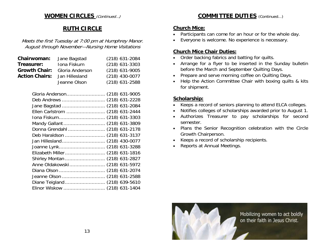# **WOMEN CIRCLES** (Continued…)

# **RUTH CIRCLE**

Meets the first Tuesday at 7:00 pm at Humphrey Manor. August through November—Nursing Home Visitations

| Chairwoman:           | Jane Bagstad    | $(218)$ 631-2084 |
|-----------------------|-----------------|------------------|
| Treasurer:            | Iona Fiskum     | $(218)$ 631-3303 |
| <b>Growth Chair:</b>  | Gloria Anderson | $(218)$ 631-9005 |
| <b>Action Chairs:</b> | Jan Hillesland  | $(218)$ 430-0077 |
|                       | Jeanne Olson    | $(218)$ 631-2588 |

| Gloria Anderson (218) 631-9005  |
|---------------------------------|
| Deb Andrews  (218) 631-2228     |
|                                 |
| Ellen Carlstrom  (218) 631-2444 |
| Iona Fiskum (218) 631-3303      |
| Mandy Gallant  (218) 631-3809   |
| Donna Grendahl  (218) 631-2178  |
| Deb Haraldson  (218) 631-3137   |
|                                 |
|                                 |
|                                 |
| Shirley Montan  (218) 631-2827  |
| Anne Oldakowski (218) 631-5972  |
| Diana Olson  (218) 631-2074     |
|                                 |
| Diane Teigland  (218) 639-5610  |
| Elinor Wiskow  (218) 631-1404   |
|                                 |

# **COMMITTEE DUTIES** (Continued...)

#### **Church Mice:**

- Participants can come for an hour or for the whole day.
- Everyone is welcome. No experience is necessary.

# **Church Mice Chair Duties:**

- Order backing fabrics and batting for quilts.
- Arrange for a flyer to be inserted in the Sunday bulletin before the March and September Quilting Days.
- Prepare and serve morning coffee on Quilting Days.
- Help the Action Committee Chair with boxing quilts & kits for shipment.

# **Scholarship:**

- Keeps a record of seniors planning to attend ELCA colleges.
- Notifies colleges of scholarships awarded prior to August 1.
- Authorizes Treasurer to pay scholarships for second semester.
- Plans the Senior Recognition celebration with the Circle Growth Chairperson.
- Keeps a record of scholarship recipients.
- Reports at Annual Meetings.

![](_page_14_Picture_21.jpeg)